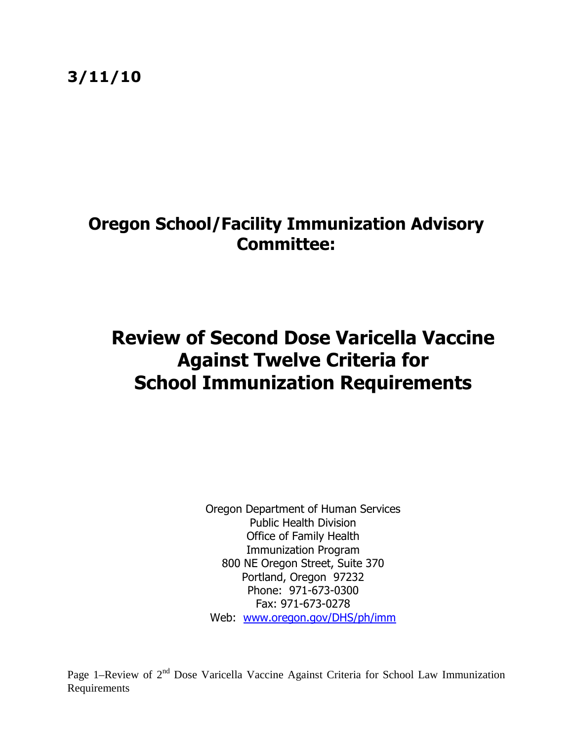3/11/10

## Oregon School/Facility Immunization Advisory Committee:

# Review of Second Dose Varicella Vaccine Against Twelve Criteria for School Immunization Requirements

Oregon Department of Human Services Public Health Division Office of Family Health Immunization Program 800 NE Oregon Street, Suite 370 Portland, Oregon 97232 Phone: 971-673-0300 Fax: 971-673-0278 Web: www.oregon.gov/DHS/ph/imm

Page 1–Review of 2<sup>nd</sup> Dose Varicella Vaccine Against Criteria for School Law Immunization Requirements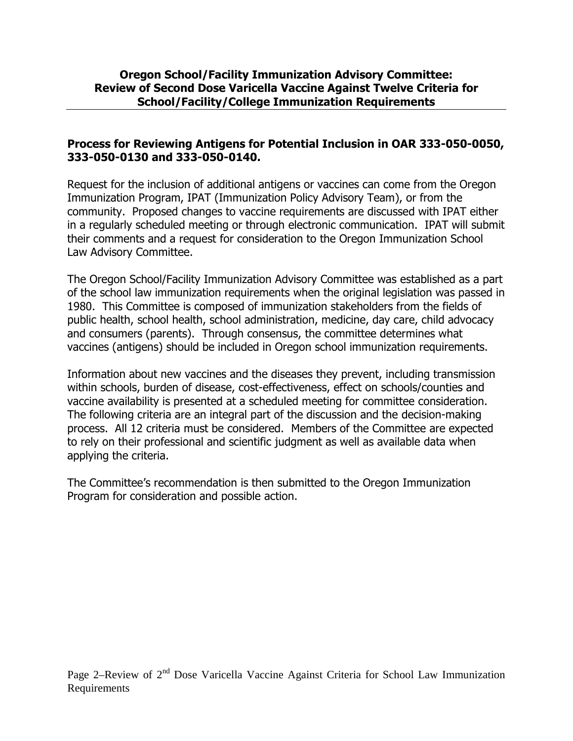#### Process for Reviewing Antigens for Potential Inclusion in OAR 333-050-0050, 333-050-0130 and 333-050-0140.

Request for the inclusion of additional antigens or vaccines can come from the Oregon Immunization Program, IPAT (Immunization Policy Advisory Team), or from the community. Proposed changes to vaccine requirements are discussed with IPAT either in a regularly scheduled meeting or through electronic communication. IPAT will submit their comments and a request for consideration to the Oregon Immunization School Law Advisory Committee.

The Oregon School/Facility Immunization Advisory Committee was established as a part of the school law immunization requirements when the original legislation was passed in 1980. This Committee is composed of immunization stakeholders from the fields of public health, school health, school administration, medicine, day care, child advocacy and consumers (parents). Through consensus, the committee determines what vaccines (antigens) should be included in Oregon school immunization requirements.

Information about new vaccines and the diseases they prevent, including transmission within schools, burden of disease, cost-effectiveness, effect on schools/counties and vaccine availability is presented at a scheduled meeting for committee consideration. The following criteria are an integral part of the discussion and the decision-making process. All 12 criteria must be considered. Members of the Committee are expected to rely on their professional and scientific judgment as well as available data when applying the criteria.

The Committee's recommendation is then submitted to the Oregon Immunization Program for consideration and possible action.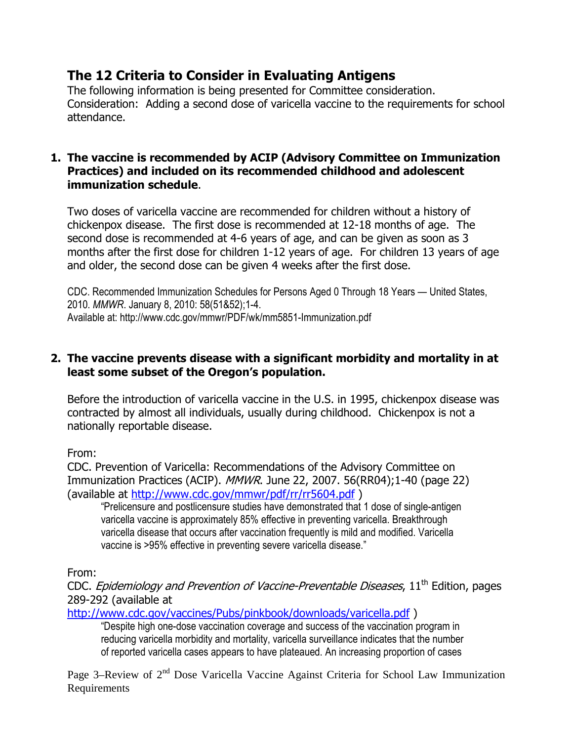### The 12 Criteria to Consider in Evaluating Antigens

The following information is being presented for Committee consideration. Consideration: Adding a second dose of varicella vaccine to the requirements for school attendance.

#### 1. The vaccine is recommended by ACIP (Advisory Committee on Immunization Practices) and included on its recommended childhood and adolescent immunization schedule.

Two doses of varicella vaccine are recommended for children without a history of chickenpox disease. The first dose is recommended at 12-18 months of age. The second dose is recommended at 4-6 years of age, and can be given as soon as 3 months after the first dose for children 1-12 years of age. For children 13 years of age and older, the second dose can be given 4 weeks after the first dose.

CDC. Recommended Immunization Schedules for Persons Aged 0 Through 18 Years — United States, 2010. MMWR. January 8, 2010: 58(51&52);1-4. Available at: http://www.cdc.gov/mmwr/PDF/wk/mm5851-Immunization.pdf

#### 2. The vaccine prevents disease with a significant morbidity and mortality in at least some subset of the Oregon's population.

Before the introduction of varicella vaccine in the U.S. in 1995, chickenpox disease was contracted by almost all individuals, usually during childhood. Chickenpox is not a nationally reportable disease.

From:

CDC. Prevention of Varicella: Recommendations of the Advisory Committee on Immunization Practices (ACIP). MMWR. June 22, 2007. 56(RR04);1-40 (page 22) (available at http://www.cdc.gov/mmwr/pdf/rr/rr5604.pdf )

"Prelicensure and postlicensure studies have demonstrated that 1 dose of single-antigen varicella vaccine is approximately 85% effective in preventing varicella. Breakthrough varicella disease that occurs after vaccination frequently is mild and modified. Varicella vaccine is >95% effective in preventing severe varicella disease."

From:

CDC. Epidemiology and Prevention of Vaccine-Preventable Diseases, 11<sup>th</sup> Edition, pages 289-292 (available at

http://www.cdc.gov/vaccines/Pubs/pinkbook/downloads/varicella.pdf )

"Despite high one-dose vaccination coverage and success of the vaccination program in reducing varicella morbidity and mortality, varicella surveillance indicates that the number of reported varicella cases appears to have plateaued. An increasing proportion of cases

Page 3–Review of 2<sup>nd</sup> Dose Varicella Vaccine Against Criteria for School Law Immunization Requirements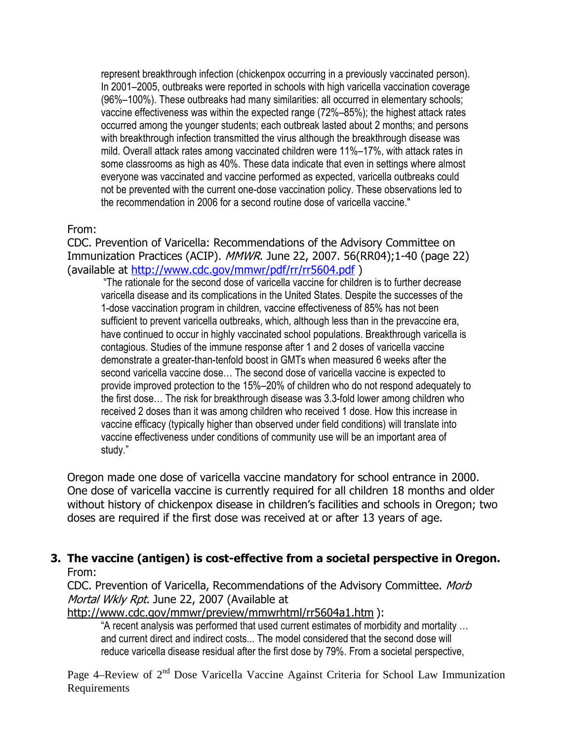represent breakthrough infection (chickenpox occurring in a previously vaccinated person). In 2001–2005, outbreaks were reported in schools with high varicella vaccination coverage (96%–100%). These outbreaks had many similarities: all occurred in elementary schools; vaccine effectiveness was within the expected range (72%–85%); the highest attack rates occurred among the younger students; each outbreak lasted about 2 months; and persons with breakthrough infection transmitted the virus although the breakthrough disease was mild. Overall attack rates among vaccinated children were 11%–17%, with attack rates in some classrooms as high as 40%. These data indicate that even in settings where almost everyone was vaccinated and vaccine performed as expected, varicella outbreaks could not be prevented with the current one-dose vaccination policy. These observations led to the recommendation in 2006 for a second routine dose of varicella vaccine."

#### From:

CDC. Prevention of Varicella: Recommendations of the Advisory Committee on Immunization Practices (ACIP). MMWR. June 22, 2007. 56(RR04);1-40 (page 22) (available at http://www.cdc.gov/mmwr/pdf/rr/rr5604.pdf )

 "The rationale for the second dose of varicella vaccine for children is to further decrease varicella disease and its complications in the United States. Despite the successes of the 1-dose vaccination program in children, vaccine effectiveness of 85% has not been sufficient to prevent varicella outbreaks, which, although less than in the prevaccine era, have continued to occur in highly vaccinated school populations. Breakthrough varicella is contagious. Studies of the immune response after 1 and 2 doses of varicella vaccine demonstrate a greater-than-tenfold boost in GMTs when measured 6 weeks after the second varicella vaccine dose… The second dose of varicella vaccine is expected to provide improved protection to the 15%–20% of children who do not respond adequately to the first dose… The risk for breakthrough disease was 3.3-fold lower among children who received 2 doses than it was among children who received 1 dose. How this increase in vaccine efficacy (typically higher than observed under field conditions) will translate into vaccine effectiveness under conditions of community use will be an important area of study."

Oregon made one dose of varicella vaccine mandatory for school entrance in 2000. One dose of varicella vaccine is currently required for all children 18 months and older without history of chickenpox disease in children's facilities and schools in Oregon; two doses are required if the first dose was received at or after 13 years of age.

#### 3. The vaccine (antigen) is cost-effective from a societal perspective in Oregon. From:

CDC. Prevention of Varicella, Recommendations of the Advisory Committee. Morb Mortal Wkly Rpt. June 22, 2007 (Available at

http://www.cdc.gov/mmwr/preview/mmwrhtml/rr5604a1.htm ):

"A recent analysis was performed that used current estimates of morbidity and mortality … and current direct and indirect costs... The model considered that the second dose will reduce varicella disease residual after the first dose by 79%. From a societal perspective,

Page 4–Review of 2<sup>nd</sup> Dose Varicella Vaccine Against Criteria for School Law Immunization Requirements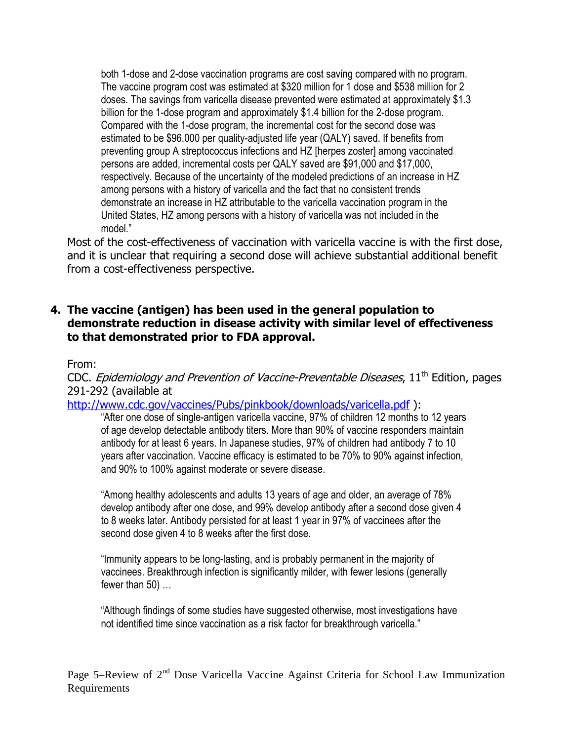both 1-dose and 2-dose vaccination programs are cost saving compared with no program. The vaccine program cost was estimated at \$320 million for 1 dose and \$538 million for 2 doses. The savings from varicella disease prevented were estimated at approximately \$1.3 billion for the 1-dose program and approximately \$1.4 billion for the 2-dose program. Compared with the 1-dose program, the incremental cost for the second dose was estimated to be \$96,000 per quality-adjusted life year (QALY) saved. If benefits from preventing group A streptococcus infections and HZ [herpes zoster] among vaccinated persons are added, incremental costs per QALY saved are \$91,000 and \$17,000, respectively. Because of the uncertainty of the modeled predictions of an increase in HZ among persons with a history of varicella and the fact that no consistent trends demonstrate an increase in HZ attributable to the varicella vaccination program in the United States, HZ among persons with a history of varicella was not included in the model."

Most of the cost-effectiveness of vaccination with varicella vaccine is with the first dose, and it is unclear that requiring a second dose will achieve substantial additional benefit from a cost-effectiveness perspective.

#### 4. The vaccine (antigen) has been used in the general population to demonstrate reduction in disease activity with similar level of effectiveness to that demonstrated prior to FDA approval.

#### From:

CDC. Epidemiology and Prevention of Vaccine-Preventable Diseases, 11<sup>th</sup> Edition, pages 291-292 (available at

http://www.cdc.gov/vaccines/Pubs/pinkbook/downloads/varicella.pdf ):

"After one dose of single-antigen varicella vaccine, 97% of children 12 months to 12 years of age develop detectable antibody titers. More than 90% of vaccine responders maintain antibody for at least 6 years. In Japanese studies, 97% of children had antibody 7 to 10 years after vaccination. Vaccine efficacy is estimated to be 70% to 90% against infection, and 90% to 100% against moderate or severe disease.

"Among healthy adolescents and adults 13 years of age and older, an average of 78% develop antibody after one dose, and 99% develop antibody after a second dose given 4 to 8 weeks later. Antibody persisted for at least 1 year in 97% of vaccinees after the second dose given 4 to 8 weeks after the first dose.

"Immunity appears to be long-lasting, and is probably permanent in the majority of vaccinees. Breakthrough infection is significantly milder, with fewer lesions (generally fewer than 50) …

"Although findings of some studies have suggested otherwise, most investigations have not identified time since vaccination as a risk factor for breakthrough varicella."

Page 5–Review of 2<sup>nd</sup> Dose Varicella Vaccine Against Criteria for School Law Immunization Requirements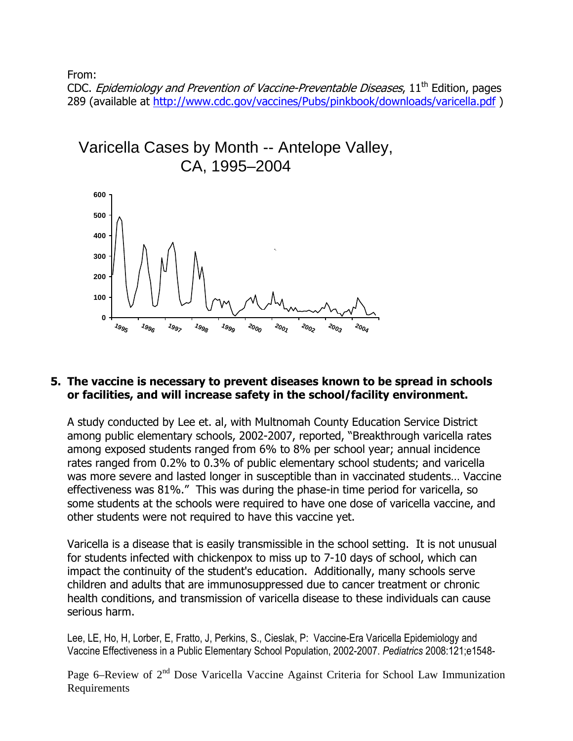From:

CDC. *Epidemiology and Prevention of Vaccine-Preventable Diseases*,  $11<sup>th</sup>$  Edition, pages 289 (available at http://www.cdc.gov/vaccines/Pubs/pinkbook/downloads/varicella.pdf )



#### 5. The vaccine is necessary to prevent diseases known to be spread in schools or facilities, and will increase safety in the school/facility environment.

A study conducted by Lee et. al, with Multnomah County Education Service District among public elementary schools, 2002-2007, reported, "Breakthrough varicella rates among exposed students ranged from 6% to 8% per school year; annual incidence rates ranged from 0.2% to 0.3% of public elementary school students; and varicella was more severe and lasted longer in susceptible than in vaccinated students… Vaccine effectiveness was 81%." This was during the phase-in time period for varicella, so some students at the schools were required to have one dose of varicella vaccine, and other students were not required to have this vaccine yet.

Varicella is a disease that is easily transmissible in the school setting. It is not unusual for students infected with chickenpox to miss up to 7-10 days of school, which can impact the continuity of the student's education. Additionally, many schools serve children and adults that are immunosuppressed due to cancer treatment or chronic health conditions, and transmission of varicella disease to these individuals can cause serious harm.

Lee, LE, Ho, H, Lorber, E, Fratto, J, Perkins, S., Cieslak, P: Vaccine-Era Varicella Epidemiology and Vaccine Effectiveness in a Public Elementary School Population, 2002-2007. Pediatrics 2008:121;e1548-

Page 6–Review of 2<sup>nd</sup> Dose Varicella Vaccine Against Criteria for School Law Immunization Requirements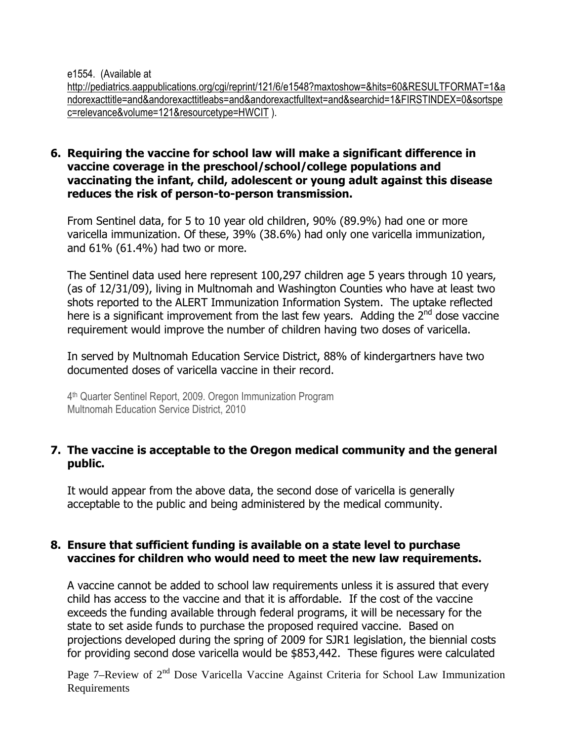e1554. (Available at

http://pediatrics.aappublications.org/cgi/reprint/121/6/e1548?maxtoshow=&hits=60&RESULTFORMAT=1&a ndorexacttitle=and&andorexacttitleabs=and&andorexactfulltext=and&searchid=1&FIRSTINDEX=0&sortspe c=relevance&volume=121&resourcetype=HWCIT ).

#### 6. Requiring the vaccine for school law will make a significant difference in vaccine coverage in the preschool/school/college populations and vaccinating the infant, child, adolescent or young adult against this disease reduces the risk of person-to-person transmission.

From Sentinel data, for 5 to 10 year old children, 90% (89.9%) had one or more varicella immunization. Of these, 39% (38.6%) had only one varicella immunization, and 61% (61.4%) had two or more.

The Sentinel data used here represent 100,297 children age 5 years through 10 years, (as of 12/31/09), living in Multnomah and Washington Counties who have at least two shots reported to the ALERT Immunization Information System. The uptake reflected here is a significant improvement from the last few years. Adding the  $2^{nd}$  dose vaccine requirement would improve the number of children having two doses of varicella.

In served by Multnomah Education Service District, 88% of kindergartners have two documented doses of varicella vaccine in their record.

4 th Quarter Sentinel Report, 2009. Oregon Immunization Program Multnomah Education Service District, 2010

#### 7. The vaccine is acceptable to the Oregon medical community and the general public.

It would appear from the above data, the second dose of varicella is generally acceptable to the public and being administered by the medical community.

#### 8. Ensure that sufficient funding is available on a state level to purchase vaccines for children who would need to meet the new law requirements.

A vaccine cannot be added to school law requirements unless it is assured that every child has access to the vaccine and that it is affordable. If the cost of the vaccine exceeds the funding available through federal programs, it will be necessary for the state to set aside funds to purchase the proposed required vaccine. Based on projections developed during the spring of 2009 for SJR1 legislation, the biennial costs for providing second dose varicella would be \$853,442. These figures were calculated

Page 7–Review of 2<sup>nd</sup> Dose Varicella Vaccine Against Criteria for School Law Immunization Requirements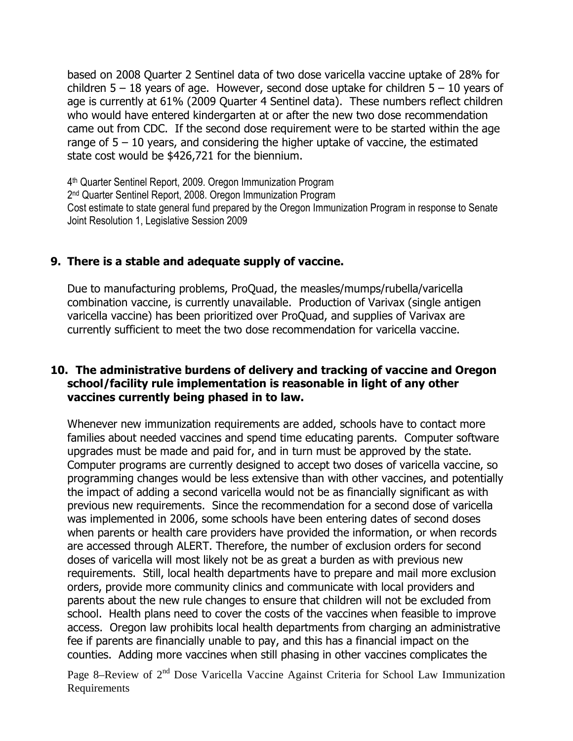based on 2008 Quarter 2 Sentinel data of two dose varicella vaccine uptake of 28% for children  $5 - 18$  years of age. However, second dose uptake for children  $5 - 10$  years of age is currently at 61% (2009 Quarter 4 Sentinel data). These numbers reflect children who would have entered kindergarten at or after the new two dose recommendation came out from CDC. If the second dose requirement were to be started within the age range of  $5 - 10$  years, and considering the higher uptake of vaccine, the estimated state cost would be \$426,721 for the biennium.

4 th Quarter Sentinel Report, 2009. Oregon Immunization Program 2 nd Quarter Sentinel Report, 2008. Oregon Immunization Program Cost estimate to state general fund prepared by the Oregon Immunization Program in response to Senate Joint Resolution 1, Legislative Session 2009

#### 9. There is a stable and adequate supply of vaccine.

Due to manufacturing problems, ProQuad, the measles/mumps/rubella/varicella combination vaccine, is currently unavailable. Production of Varivax (single antigen varicella vaccine) has been prioritized over ProQuad, and supplies of Varivax are currently sufficient to meet the two dose recommendation for varicella vaccine.

#### 10. The administrative burdens of delivery and tracking of vaccine and Oregon school/facility rule implementation is reasonable in light of any other vaccines currently being phased in to law.

Whenever new immunization requirements are added, schools have to contact more families about needed vaccines and spend time educating parents. Computer software upgrades must be made and paid for, and in turn must be approved by the state. Computer programs are currently designed to accept two doses of varicella vaccine, so programming changes would be less extensive than with other vaccines, and potentially the impact of adding a second varicella would not be as financially significant as with previous new requirements. Since the recommendation for a second dose of varicella was implemented in 2006, some schools have been entering dates of second doses when parents or health care providers have provided the information, or when records are accessed through ALERT. Therefore, the number of exclusion orders for second doses of varicella will most likely not be as great a burden as with previous new requirements. Still, local health departments have to prepare and mail more exclusion orders, provide more community clinics and communicate with local providers and parents about the new rule changes to ensure that children will not be excluded from school. Health plans need to cover the costs of the vaccines when feasible to improve access. Oregon law prohibits local health departments from charging an administrative fee if parents are financially unable to pay, and this has a financial impact on the counties. Adding more vaccines when still phasing in other vaccines complicates the

Page 8–Review of 2<sup>nd</sup> Dose Varicella Vaccine Against Criteria for School Law Immunization Requirements